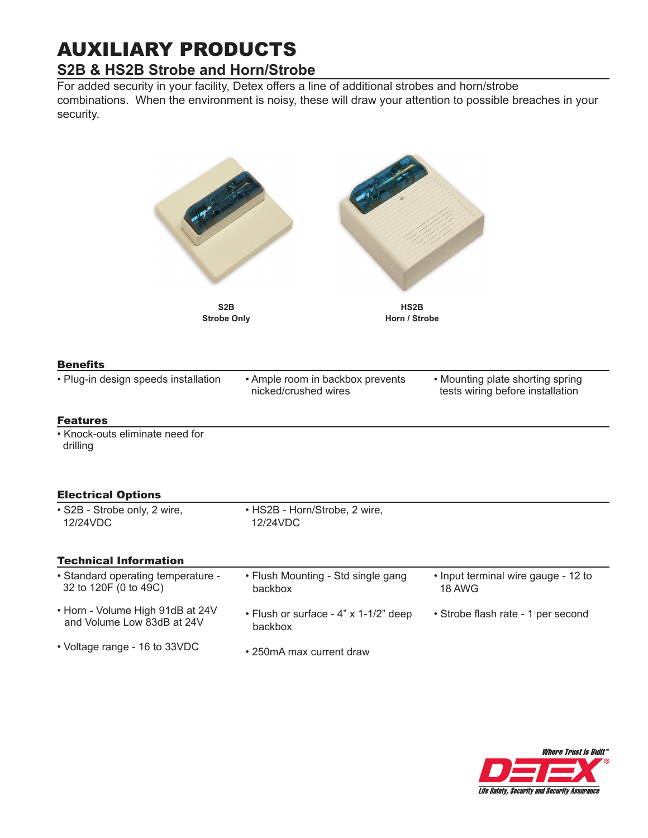## AUXILIARY PRODUCTS **S2B & HS2B Strobe and Horn/Strobe**

For added security in your facility, Detex offers a line of additional strobes and horn/strobe combinations. When the environment is noisy, these will draw your attention to possible breaches in your security.

| S <sub>2</sub> B<br><b>Strobe Only</b>                         | HS <sub>2</sub> B<br>Horn / Strobe                       |                                                                      |
|----------------------------------------------------------------|----------------------------------------------------------|----------------------------------------------------------------------|
| <b>Benefits</b>                                                |                                                          |                                                                      |
| · Plug-in design speeds installation                           | • Ample room in backbox prevents<br>nicked/crushed wires | • Mounting plate shorting spring<br>tests wiring before installation |
| <b>Features</b>                                                |                                                          |                                                                      |
| • Knock-outs eliminate need for<br>drilling                    |                                                          |                                                                      |
| <b>Electrical Options</b>                                      |                                                          |                                                                      |
| · S2B - Strobe only, 2 wire,<br>12/24VDC                       | • HS2B - Horn/Strobe, 2 wire,<br>12/24VDC                |                                                                      |
| <b>Technical Information</b>                                   |                                                          |                                                                      |
| • Standard operating temperature -<br>32 to 120F (0 to 49C)    | • Flush Mounting - Std single gang<br>backbox            | • Input terminal wire gauge - 12 to<br>18 AWG                        |
| • Horn - Volume High 91dB at 24V<br>and Volume Low 83dB at 24V | • Flush or surface - 4" x 1-1/2" deep<br>backbox         | · Strobe flash rate - 1 per second                                   |
| • Voltage range - 16 to 33VDC                                  | • 250mA max current draw                                 |                                                                      |